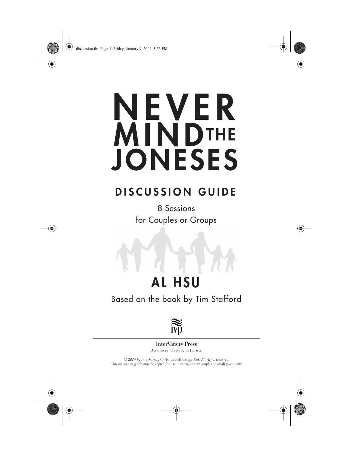

# **NEVER MINDTHE JONESES**

### **DISCUSSION GUIDE**

8 Sessions for Couples or Groups

## **AL HSU**

Based on the book by Tim Stafford



Downers Grove, Illinois InterVarsity Press

*© 2004 by InterVarsity Christian Fellowship/USA. All rights reserved. This discussion guide may be copied for use in discussion by couples or small group only.*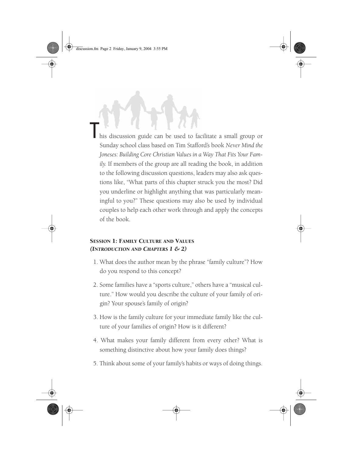discussion.fm Page 2 Friday, January 9, 2004 3:55 PM

his discussion guide can be used to facilitate a small group or Sunday school class based on Tim Stafford's book *Never Mind the Joneses: Building Core Christian Values in a Way That Fits Your Family.* If members of the group are all reading the book, in addition to the following discussion questions, leaders may also ask questions like, "What parts of this chapter struck you the most? Did you underline or highlight anything that was particularly meaningful to you?" These questions may also be used by individual couples to help each other work through and apply the concepts of the book.

#### SESSION 1: FAMILY CULTURE AND VALUES *(INTRODUCTION AND CHAPTERS 1 & 2)*

- 1. What does the author mean by the phrase "family culture"? How do you respond to this concept?
- 2. Some families have a "sports culture," others have a "musical culture." How would you describe the culture of your family of origin? Your spouse's family of origin?
- 3. How is the family culture for your immediate family like the culture of your families of origin? How is it different?
- 4. What makes your family different from every other? What is something distinctive about how your family does things?
- 5. Think about some of your family's habits or ways of doing things.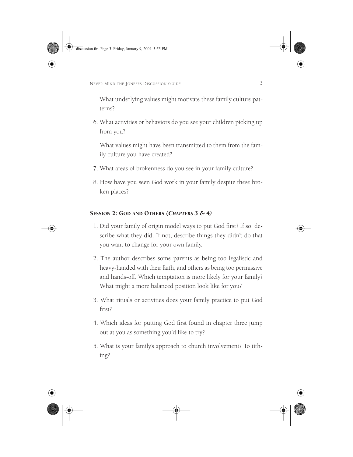discussion.fm Page 3 Friday, January 9, 2004 3:55 PM

NEVER MIND THE JONESES DISCUSSION GUIDE

What underlying values might motivate these family culture patterns?

6. What activities or behaviors do you see your children picking up from you?

What values might have been transmitted to them from the family culture you have created?

- 7. What areas of brokenness do you see in your family culture?
- 8. How have you seen God work in your family despite these broken places?

#### SESSION 2: GOD AND OTHERS *(CHAPTERS 3 & 4)*

- 1. Did your family of origin model ways to put God first? If so, describe what they did. If not, describe things they didn't do that you want to change for your own family.
- 2. The author describes some parents as being too legalistic and heavy-handed with their faith, and others as being too permissive and hands-off. Which temptation is more likely for your family? What might a more balanced position look like for you?
- 3. What rituals or activities does your family practice to put God first?
- 4. Which ideas for putting God first found in chapter three jump out at you as something you'd like to try?
- 5. What is your family's approach to church involvement? To tithing?

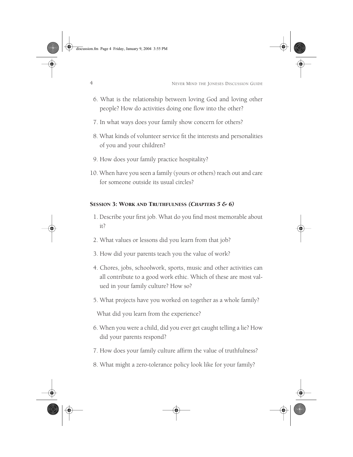discussion.fm Page 4 Friday, January 9, 2004 3:55 PM

4 NEVER MIND THE JONESES DISCUSSION GUIDE

- 6. What is the relationship between loving God and loving other people? How do activities doing one flow into the other?
- 7. In what ways does your family show concern for others?
- 8. What kinds of volunteer service fit the interests and personalities of you and your children?
- 9. How does your family practice hospitality?
- 10. When have you seen a family (yours or others) reach out and care for someone outside its usual circles?

#### SESSION 3: WORK AND TRUTHFULNESS *(CHAPTERS 5 & 6)*

- 1. Describe your first job. What do you find most memorable about it?
- 2. What values or lessons did you learn from that job?
- 3. How did your parents teach you the value of work?
- 4. Chores, jobs, schoolwork, sports, music and other activities can all contribute to a good work ethic. Which of these are most valued in your family culture? How so?
- 5. What projects have you worked on together as a whole family?

What did you learn from the experience?

- 6. When you were a child, did you ever get caught telling a lie? How did your parents respond?
- 7. How does your family culture affirm the value of truthfulness?
- 8. What might a zero-tolerance policy look like for your family?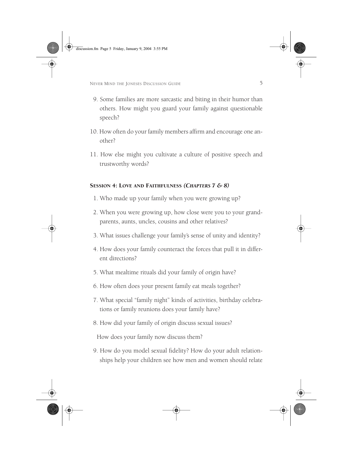discussion.fm Page 5 Friday, January 9, 2004 3:55 PM

NEVER MIND THE JONESES DISCUSSION GUIDE

- 9. Some families are more sarcastic and biting in their humor than others. How might you guard your family against questionable speech?
- 10. How often do your family members affirm and encourage one another?
- 11. How else might you cultivate a culture of positive speech and trustworthy words?

#### SESSION 4: LOVE AND FAITHFULNESS *(CHAPTERS 7 & 8)*

- 1. Who made up your family when you were growing up?
- 2. When you were growing up, how close were you to your grandparents, aunts, uncles, cousins and other relatives?
- 3. What issues challenge your family's sense of unity and identity?
- 4. How does your family counteract the forces that pull it in different directions?
- 5. What mealtime rituals did your family of origin have?
- 6. How often does your present family eat meals together?
- 7. What special "family night" kinds of activities, birthday celebrations or family reunions does your family have?
- 8. How did your family of origin discuss sexual issues?

How does your family now discuss them?

9. How do you model sexual fidelity? How do your adult relationships help your children see how men and women should relate

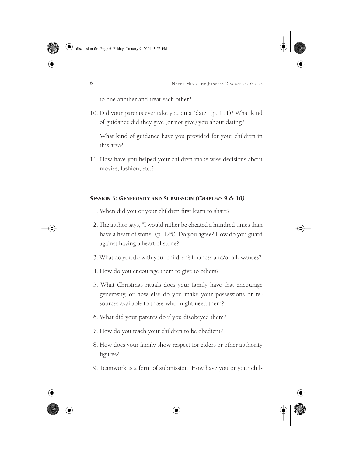6 NEVER MIND THE JONESES DISCUSSION GUIDE

to one another and treat each other?

10. Did your parents ever take you on a "date" (p. 111)? What kind of guidance did they give (or not give) you about dating?

What kind of guidance have you provided for your children in this area?

11. How have you helped your children make wise decisions about movies, fashion, etc.?

#### SESSION 5: GENEROSITY AND SUBMISSION *(CHAPTERS 9 & 10)*

- 1. When did you or your children first learn to share?
- 2. The author says, "I would rather be cheated a hundred times than have a heart of stone" (p. 125). Do you agree? How do you guard against having a heart of stone?
- 3. What do you do with your children's finances and/or allowances?
- 4. How do you encourage them to give to others?
- 5. What Christmas rituals does your family have that encourage generosity, or how else do you make your possessions or resources available to those who might need them?
- 6. What did your parents do if you disobeyed them?
- 7. How do you teach your children to be obedient?
- 8. How does your family show respect for elders or other authority figures?
- 9. Teamwork is a form of submission. How have you or your chil-

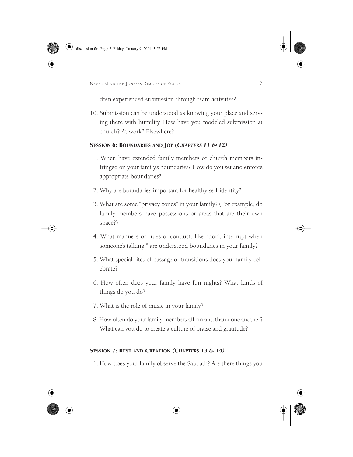discussion.fm Page 7 Friday, January 9, 2004 3:55 PM

NEVER MIND THE JONESES DISCUSSION GUIDE

dren experienced submission through team activities?

10. Submission can be understood as knowing your place and serving there with humility. How have you modeled submission at church? At work? Elsewhere?

#### SESSION 6: BOUNDARIES AND JOY *(CHAPTERS 11 & 12)*

- 1. When have extended family members or church members infringed on your family's boundaries? How do you set and enforce appropriate boundaries?
- 2. Why are boundaries important for healthy self-identity?
- 3. What are some "privacy zones" in your family? (For example, do family members have possessions or areas that are their own space?)
- 4. What manners or rules of conduct, like "don't interrupt when someone's talking," are understood boundaries in your family?
- 5. What special rites of passage or transitions does your family celebrate?
- 6. How often does your family have fun nights? What kinds of things do you do?
- 7. What is the role of music in your family?
- 8. How often do your family members affirm and thank one another? What can you do to create a culture of praise and gratitude?

#### SESSION 7: REST AND CREATION *(CHAPTERS 13 & 14)*

1. How does your family observe the Sabbath? Are there things you

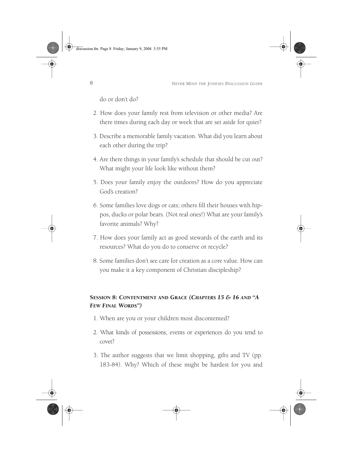#### 8 NEVER MIND THE JONESES DISCUSSION GUIDE

do or don't do?

- 2. How does your family rest from television or other media? Are there times during each day or week that are set aside for quiet?
- 3. Describe a memorable family vacation. What did you learn about each other during the trip?
- 4. Are there things in your family's schedule that should be cut out? What might your life look like without them?
- 5. Does your family enjoy the outdoors? How do you appreciate God's creation?
- 6. Some families love dogs or cats; others fill their houses with hippos, ducks or polar bears. (Not real ones!) What are your family's favorite animals? Why?
- 7. How does your family act as good stewards of the earth and its resources? What do you do to conserve or recycle?
- 8. Some families don't see care for creation as a core value. How can you make it a key component of Christian discipleship?

#### SESSION 8: CONTENTMENT AND GRACE *(CHAPTERS 15 & 16 AND "A FEW FINAL WORDS")*

- 1. When are you or your children most discontented?
- 2. What kinds of possessions, events or experiences do you tend to covet?
- 3. The author suggests that we limit shopping, gifts and TV (pp. 183-84). Why? Which of these might be hardest for you and